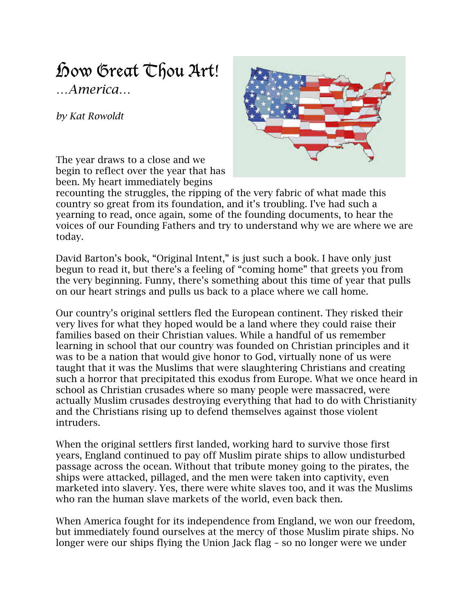## how Great  $\mathbb{C}$  fou Art! *…America…*

*by Kat Rowoldt*



The year draws to a close and we begin to reflect over the year that has been. My heart immediately begins

recounting the struggles, the ripping of the very fabric of what made this country so great from its foundation, and it's troubling. I've had such a yearning to read, once again, some of the founding documents, to hear the voices of our Founding Fathers and try to understand why we are where we are today.

David Barton's book, "Original Intent," is just such a book. I have only just begun to read it, but there's a feeling of "coming home" that greets you from the very beginning. Funny, there's something about this time of year that pulls on our heart strings and pulls us back to a place where we call home.

Our country's original settlers fled the European continent. They risked their very lives for what they hoped would be a land where they could raise their families based on their Christian values. While a handful of us remember learning in school that our country was founded on Christian principles and it was to be a nation that would give honor to God, virtually none of us were taught that it was the Muslims that were slaughtering Christians and creating such a horror that precipitated this exodus from Europe. What we once heard in school as Christian crusades where so many people were massacred, were actually Muslim crusades destroying everything that had to do with Christianity and the Christians rising up to defend themselves against those violent intruders.

When the original settlers first landed, working hard to survive those first years, England continued to pay off Muslim pirate ships to allow undisturbed passage across the ocean. Without that tribute money going to the pirates, the ships were attacked, pillaged, and the men were taken into captivity, even marketed into slavery. Yes, there were white slaves too, and it was the Muslims who ran the human slave markets of the world, even back then.

When America fought for its independence from England, we won our freedom, but immediately found ourselves at the mercy of those Muslim pirate ships. No longer were our ships flying the Union Jack flag – so no longer were we under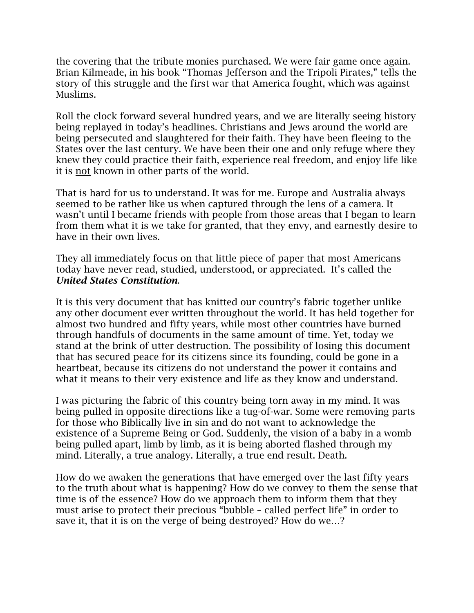the covering that the tribute monies purchased. We were fair game once again. Brian Kilmeade, in his book "Thomas Jefferson and the Tripoli Pirates," tells the story of this struggle and the first war that America fought, which was against Muslims.

Roll the clock forward several hundred years, and we are literally seeing history being replayed in today's headlines. Christians and Jews around the world are being persecuted and slaughtered for their faith. They have been fleeing to the States over the last century. We have been their one and only refuge where they knew they could practice their faith, experience real freedom, and enjoy life like it is not known in other parts of the world.

That is hard for us to understand. It was for me. Europe and Australia always seemed to be rather like us when captured through the lens of a camera. It wasn't until I became friends with people from those areas that I began to learn from them what it is we take for granted, that they envy, and earnestly desire to have in their own lives.

They all immediately focus on that little piece of paper that most Americans today have never read, studied, understood, or appreciated. It's called the *United States Constitution*.

It is this very document that has knitted our country's fabric together unlike any other document ever written throughout the world. It has held together for almost two hundred and fifty years, while most other countries have burned through handfuls of documents in the same amount of time. Yet, today we stand at the brink of utter destruction. The possibility of losing this document that has secured peace for its citizens since its founding, could be gone in a heartbeat, because its citizens do not understand the power it contains and what it means to their very existence and life as they know and understand.

I was picturing the fabric of this country being torn away in my mind. It was being pulled in opposite directions like a tug-of-war. Some were removing parts for those who Biblically live in sin and do not want to acknowledge the existence of a Supreme Being or God. Suddenly, the vision of a baby in a womb being pulled apart, limb by limb, as it is being aborted flashed through my mind. Literally, a true analogy. Literally, a true end result. Death.

How do we awaken the generations that have emerged over the last fifty years to the truth about what is happening? How do we convey to them the sense that time is of the essence? How do we approach them to inform them that they must arise to protect their precious "bubble – called perfect life" in order to save it, that it is on the verge of being destroyed? How do we…?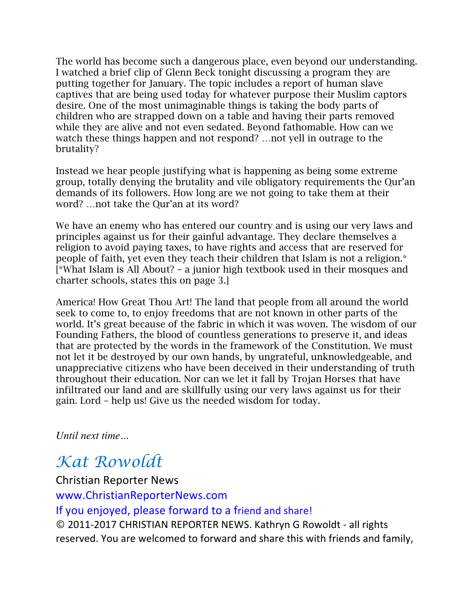The world has become such a dangerous place, even beyond our understanding. I watched a brief clip of Glenn Beck tonight discussing a program they are putting together for January. The topic includes a report of human slave captives that are being used today for whatever purpose their Muslim captors desire. One of the most unimaginable things is taking the body parts of children who are strapped down on a table and having their parts removed while they are alive and not even sedated. Beyond fathomable. How can we watch these things happen and not respond? …not yell in outrage to the brutality?

Instead we hear people justifying what is happening as being some extreme group, totally denying the brutality and vile obligatory requirements the Qur'an demands of its followers. How long are we not going to take them at their word? …not take the Qur'an at its word?

We have an enemy who has entered our country and is using our very laws and principles against us for their gainful advantage. They declare themselves a religion to avoid paying taxes, to have rights and access that are reserved for people of faith, yet even they teach their children that Islam is not a religion.\* [\*What Islam is All About? – a junior high textbook used in their mosques and charter schools, states this on page 3.]

America! How Great Thou Art! The land that people from all around the world seek to come to, to enjoy freedoms that are not known in other parts of the world. It's great because of the fabric in which it was woven. The wisdom of our Founding Fathers, the blood of countless generations to preserve it, and ideas that are protected by the words in the framework of the Constitution. We must not let it be destroyed by our own hands, by ungrateful, unknowledgeable, and unappreciative citizens who have been deceived in their understanding of truth throughout their education. Nor can we let it fall by Trojan Horses that have infiltrated our land and are skillfully using our very laws against us for their gain. Lord – help us! Give us the needed wisdom for today.

*Until next time...* 

## *Kat Rowoldt*

## Christian Reporter News

www.ChristianReporterNews.com 

If you enjoyed, please forward to a friend and share!

© 2011-2017 CHRISTIAN REPORTER NEWS. Kathryn G Rowoldt - all rights reserved. You are welcomed to forward and share this with friends and family,